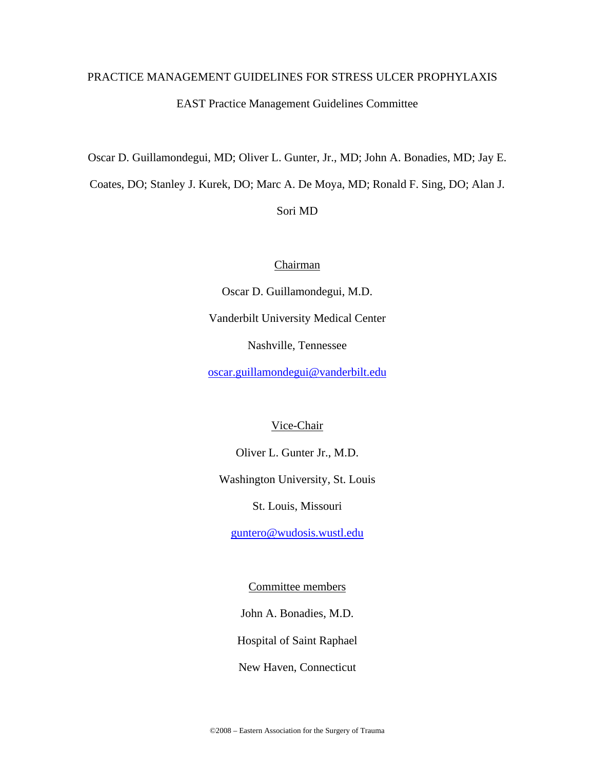# PRACTICE MANAGEMENT GUIDELINES FOR STRESS ULCER PROPHYLAXIS EAST Practice Management Guidelines Committee

Oscar D. Guillamondegui, MD; Oliver L. Gunter, Jr., MD; John A. Bonadies, MD; Jay E.

Coates, DO; Stanley J. Kurek, DO; Marc A. De Moya, MD; Ronald F. Sing, DO; Alan J.

Sori MD

# Chairman

Oscar D. Guillamondegui, M.D. Vanderbilt University Medical Center Nashville, Tennessee

oscar.guillamondegui@vanderbilt.edu

# Vice-Chair

Oliver L. Gunter Jr., M.D.

Washington University, St. Louis

St. Louis, Missouri

guntero@wudosis.wustl.edu

Committee members

John A. Bonadies, M.D.

Hospital of Saint Raphael

New Haven, Connecticut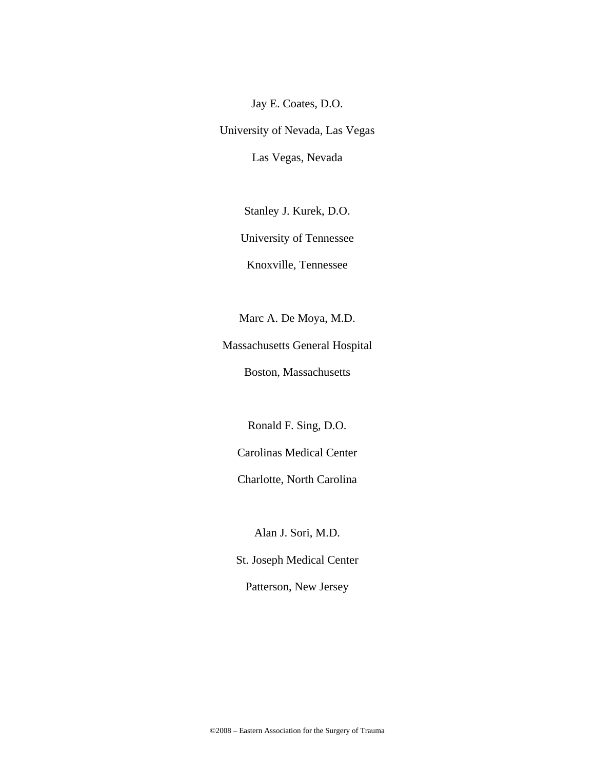Jay E. Coates, D.O.

University of Nevada, Las Vegas Las Vegas, Nevada

Stanley J. Kurek, D.O.

University of Tennessee

Knoxville, Tennessee

Marc A. De Moya, M.D.

Massachusetts General Hospital

Boston, Massachusetts

Ronald F. Sing, D.O.

Carolinas Medical Center

Charlotte, North Carolina

Alan J. Sori, M.D.

St. Joseph Medical Center

Patterson, New Jersey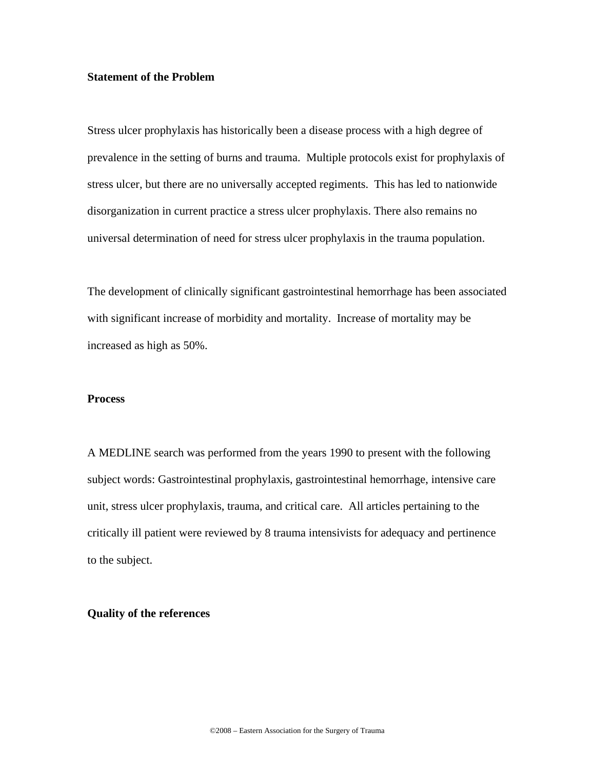### **Statement of the Problem**

Stress ulcer prophylaxis has historically been a disease process with a high degree of prevalence in the setting of burns and trauma. Multiple protocols exist for prophylaxis of stress ulcer, but there are no universally accepted regiments. This has led to nationwide disorganization in current practice a stress ulcer prophylaxis. There also remains no universal determination of need for stress ulcer prophylaxis in the trauma population.

The development of clinically significant gastrointestinal hemorrhage has been associated with significant increase of morbidity and mortality. Increase of mortality may be increased as high as 50%.

#### **Process**

A MEDLINE search was performed from the years 1990 to present with the following subject words: Gastrointestinal prophylaxis, gastrointestinal hemorrhage, intensive care unit, stress ulcer prophylaxis, trauma, and critical care. All articles pertaining to the critically ill patient were reviewed by 8 trauma intensivists for adequacy and pertinence to the subject.

#### **Quality of the references**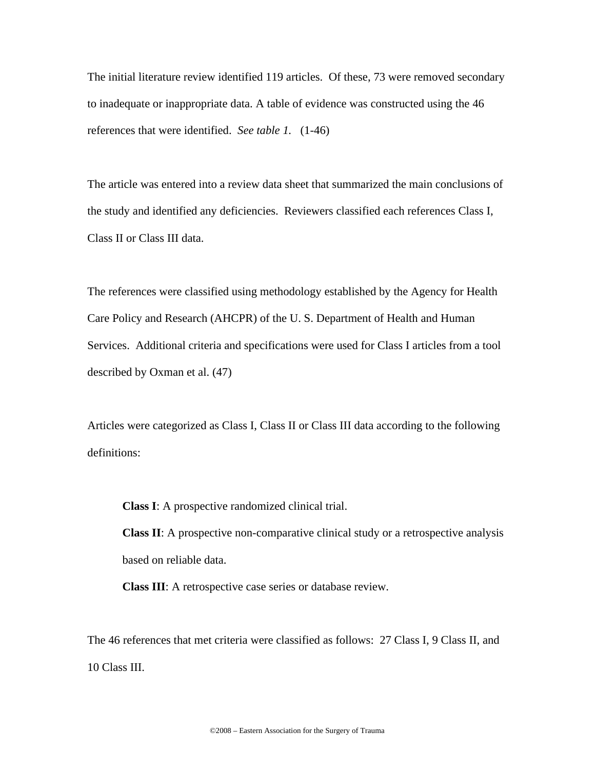The initial literature review identified 119 articles. Of these, 73 were removed secondary to inadequate or inappropriate data. A table of evidence was constructed using the 46 references that were identified. *See table 1.* (1-46)

The article was entered into a review data sheet that summarized the main conclusions of the study and identified any deficiencies. Reviewers classified each references Class I, Class II or Class III data.

The references were classified using methodology established by the Agency for Health Care Policy and Research (AHCPR) of the U. S. Department of Health and Human Services. Additional criteria and specifications were used for Class I articles from a tool described by Oxman et al. (47)

Articles were categorized as Class I, Class II or Class III data according to the following definitions:

**Class I**: A prospective randomized clinical trial.

**Class II**: A prospective non-comparative clinical study or a retrospective analysis based on reliable data.

**Class III**: A retrospective case series or database review.

The 46 references that met criteria were classified as follows: 27 Class I, 9 Class II, and 10 Class III.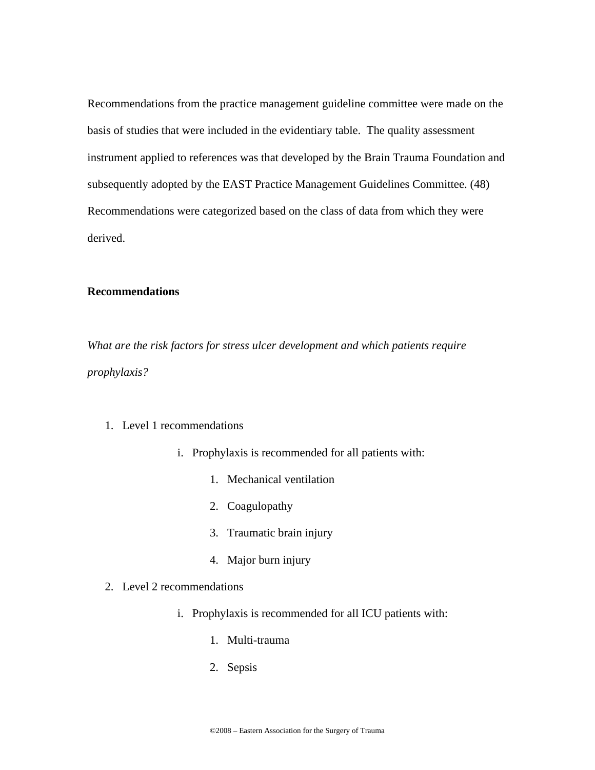Recommendations from the practice management guideline committee were made on the basis of studies that were included in the evidentiary table. The quality assessment instrument applied to references was that developed by the Brain Trauma Foundation and subsequently adopted by the EAST Practice Management Guidelines Committee. (48) Recommendations were categorized based on the class of data from which they were derived.

# **Recommendations**

*What are the risk factors for stress ulcer development and which patients require prophylaxis?* 

## 1. Level 1 recommendations

- i. Prophylaxis is recommended for all patients with:
	- 1. Mechanical ventilation
	- 2. Coagulopathy
	- 3. Traumatic brain injury
	- 4. Major burn injury
- 2. Level 2 recommendations
	- i. Prophylaxis is recommended for all ICU patients with:
		- 1. Multi-trauma
		- 2. Sepsis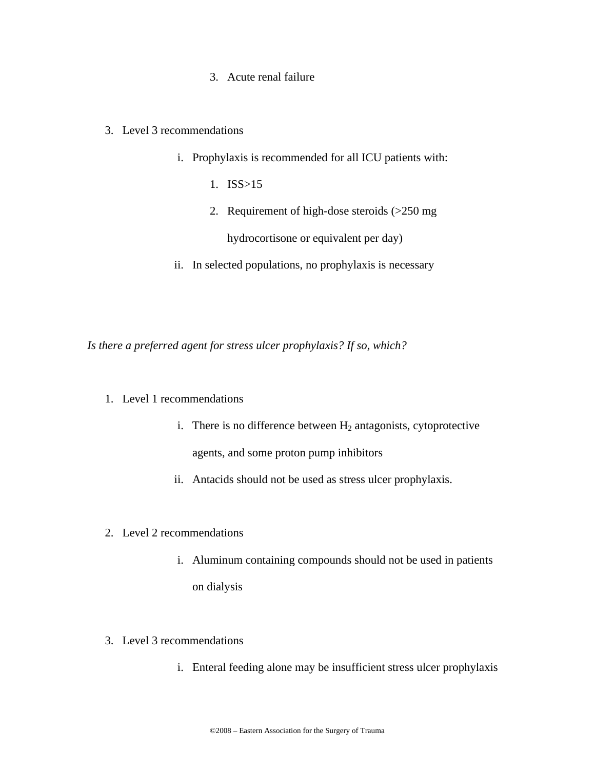# 3. Acute renal failure

## 3. Level 3 recommendations

- i. Prophylaxis is recommended for all ICU patients with:
	- 1. ISS>15
	- 2. Requirement of high-dose steroids (>250 mg hydrocortisone or equivalent per day)
- ii. In selected populations, no prophylaxis is necessary

*Is there a preferred agent for stress ulcer prophylaxis? If so, which?* 

- 1. Level 1 recommendations
	- i. There is no difference between  $H_2$  antagonists, cytoprotective agents, and some proton pump inhibitors
	- ii. Antacids should not be used as stress ulcer prophylaxis.
- 2. Level 2 recommendations
	- i. Aluminum containing compounds should not be used in patients on dialysis
- 3. Level 3 recommendations
	- i. Enteral feeding alone may be insufficient stress ulcer prophylaxis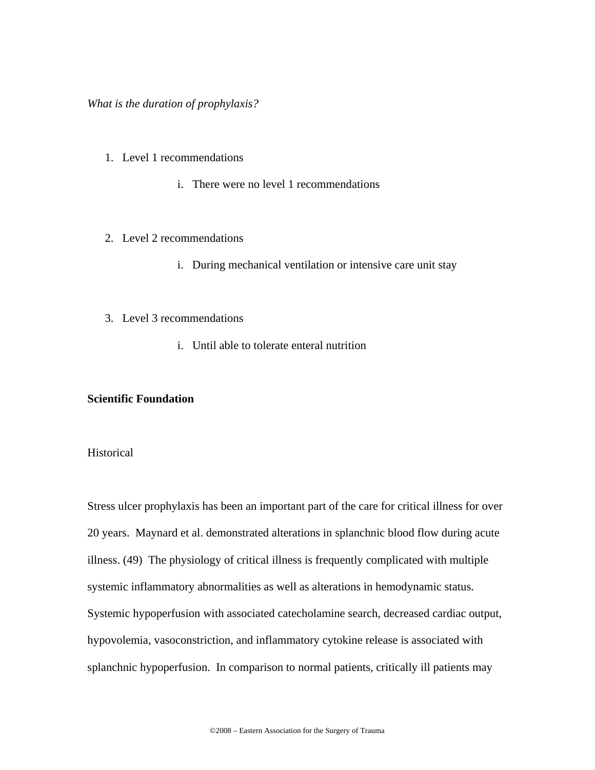## *What is the duration of prophylaxis?*

- 1. Level 1 recommendations
	- i. There were no level 1 recommendations
- 2. Level 2 recommendations
	- i. During mechanical ventilation or intensive care unit stay
- 3. Level 3 recommendations
	- i. Until able to tolerate enteral nutrition

## **Scientific Foundation**

## **Historical**

Stress ulcer prophylaxis has been an important part of the care for critical illness for over 20 years. Maynard et al. demonstrated alterations in splanchnic blood flow during acute illness. (49) The physiology of critical illness is frequently complicated with multiple systemic inflammatory abnormalities as well as alterations in hemodynamic status. Systemic hypoperfusion with associated catecholamine search, decreased cardiac output, hypovolemia, vasoconstriction, and inflammatory cytokine release is associated with splanchnic hypoperfusion. In comparison to normal patients, critically ill patients may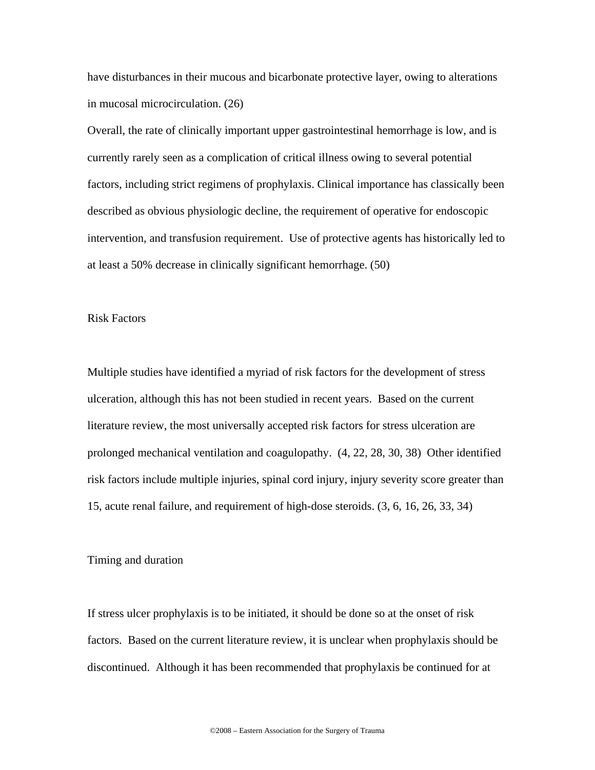have disturbances in their mucous and bicarbonate protective layer, owing to alterations in mucosal microcirculation. (26)

Overall, the rate of clinically important upper gastrointestinal hemorrhage is low, and is currently rarely seen as a complication of critical illness owing to several potential factors, including strict regimens of prophylaxis. Clinical importance has classically been described as obvious physiologic decline, the requirement of operative for endoscopic intervention, and transfusion requirement. Use of protective agents has historically led to at least a 50% decrease in clinically significant hemorrhage. (50)

## Risk Factors

Multiple studies have identified a myriad of risk factors for the development of stress ulceration, although this has not been studied in recent years. Based on the current literature review, the most universally accepted risk factors for stress ulceration are prolonged mechanical ventilation and coagulopathy. (4, 22, 28, 30, 38) Other identified risk factors include multiple injuries, spinal cord injury, injury severity score greater than 15, acute renal failure, and requirement of high-dose steroids. (3, 6, 16, 26, 33, 34)

## Timing and duration

If stress ulcer prophylaxis is to be initiated, it should be done so at the onset of risk factors. Based on the current literature review, it is unclear when prophylaxis should be discontinued. Although it has been recommended that prophylaxis be continued for at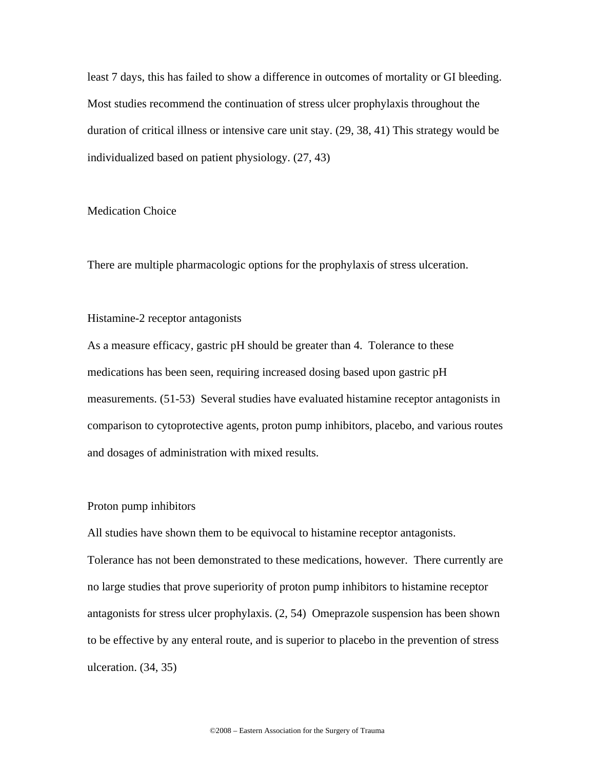least 7 days, this has failed to show a difference in outcomes of mortality or GI bleeding. Most studies recommend the continuation of stress ulcer prophylaxis throughout the duration of critical illness or intensive care unit stay. (29, 38, 41) This strategy would be individualized based on patient physiology. (27, 43)

#### Medication Choice

There are multiple pharmacologic options for the prophylaxis of stress ulceration.

## Histamine-2 receptor antagonists

As a measure efficacy, gastric pH should be greater than 4. Tolerance to these medications has been seen, requiring increased dosing based upon gastric pH measurements. (51-53) Several studies have evaluated histamine receptor antagonists in comparison to cytoprotective agents, proton pump inhibitors, placebo, and various routes and dosages of administration with mixed results.

#### Proton pump inhibitors

All studies have shown them to be equivocal to histamine receptor antagonists. Tolerance has not been demonstrated to these medications, however. There currently are no large studies that prove superiority of proton pump inhibitors to histamine receptor antagonists for stress ulcer prophylaxis. (2, 54) Omeprazole suspension has been shown to be effective by any enteral route, and is superior to placebo in the prevention of stress ulceration. (34, 35)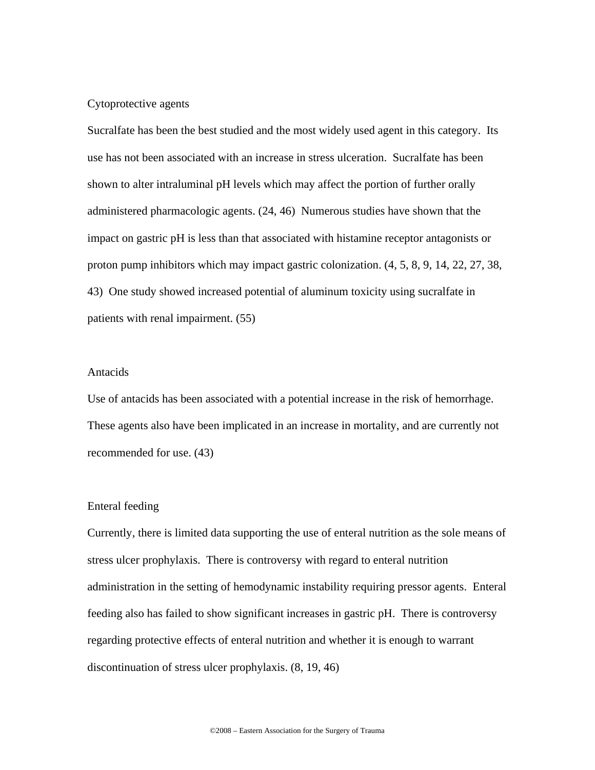## Cytoprotective agents

Sucralfate has been the best studied and the most widely used agent in this category. Its use has not been associated with an increase in stress ulceration. Sucralfate has been shown to alter intraluminal pH levels which may affect the portion of further orally administered pharmacologic agents. (24, 46) Numerous studies have shown that the impact on gastric pH is less than that associated with histamine receptor antagonists or proton pump inhibitors which may impact gastric colonization. (4, 5, 8, 9, 14, 22, 27, 38, 43) One study showed increased potential of aluminum toxicity using sucralfate in patients with renal impairment. (55)

#### Antacids

Use of antacids has been associated with a potential increase in the risk of hemorrhage. These agents also have been implicated in an increase in mortality, and are currently not recommended for use. (43)

#### Enteral feeding

Currently, there is limited data supporting the use of enteral nutrition as the sole means of stress ulcer prophylaxis. There is controversy with regard to enteral nutrition administration in the setting of hemodynamic instability requiring pressor agents. Enteral feeding also has failed to show significant increases in gastric pH. There is controversy regarding protective effects of enteral nutrition and whether it is enough to warrant discontinuation of stress ulcer prophylaxis. (8, 19, 46)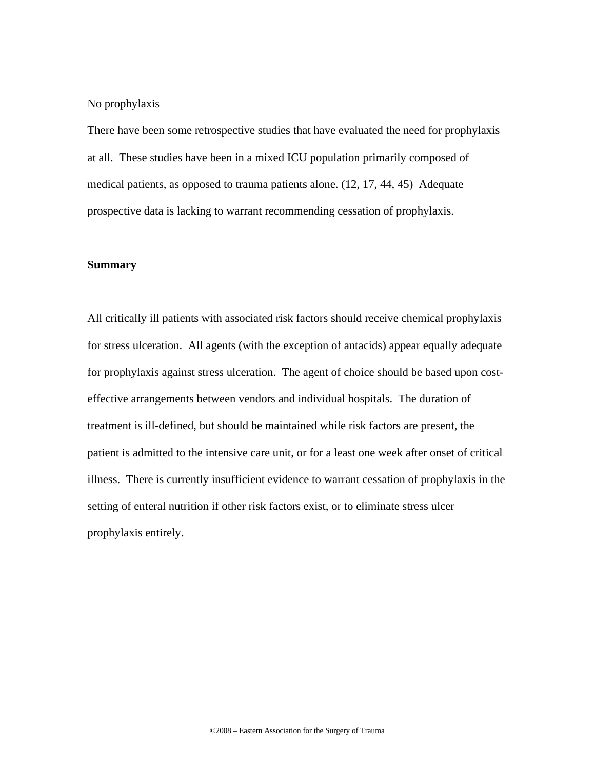No prophylaxis

There have been some retrospective studies that have evaluated the need for prophylaxis at all. These studies have been in a mixed ICU population primarily composed of medical patients, as opposed to trauma patients alone. (12, 17, 44, 45) Adequate prospective data is lacking to warrant recommending cessation of prophylaxis.

#### **Summary**

All critically ill patients with associated risk factors should receive chemical prophylaxis for stress ulceration. All agents (with the exception of antacids) appear equally adequate for prophylaxis against stress ulceration. The agent of choice should be based upon costeffective arrangements between vendors and individual hospitals. The duration of treatment is ill-defined, but should be maintained while risk factors are present, the patient is admitted to the intensive care unit, or for a least one week after onset of critical illness. There is currently insufficient evidence to warrant cessation of prophylaxis in the setting of enteral nutrition if other risk factors exist, or to eliminate stress ulcer prophylaxis entirely.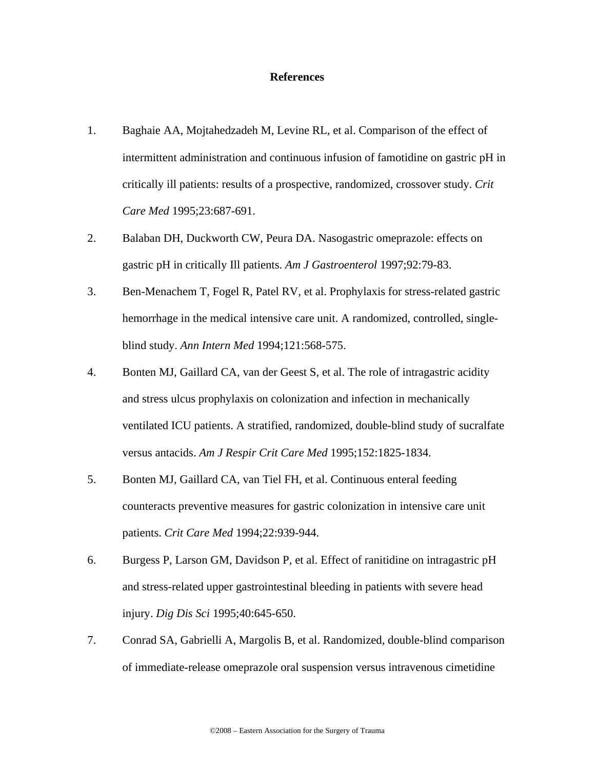#### **References**

- 1. Baghaie AA, Mojtahedzadeh M, Levine RL, et al. Comparison of the effect of intermittent administration and continuous infusion of famotidine on gastric pH in critically ill patients: results of a prospective, randomized, crossover study. *Crit Care Med* 1995;23:687-691.
- 2. Balaban DH, Duckworth CW, Peura DA. Nasogastric omeprazole: effects on gastric pH in critically Ill patients. *Am J Gastroenterol* 1997;92:79-83.
- 3. Ben-Menachem T, Fogel R, Patel RV, et al. Prophylaxis for stress-related gastric hemorrhage in the medical intensive care unit. A randomized, controlled, singleblind study. *Ann Intern Med* 1994;121:568-575.
- 4. Bonten MJ, Gaillard CA, van der Geest S, et al. The role of intragastric acidity and stress ulcus prophylaxis on colonization and infection in mechanically ventilated ICU patients. A stratified, randomized, double-blind study of sucralfate versus antacids. *Am J Respir Crit Care Med* 1995;152:1825-1834.
- 5. Bonten MJ, Gaillard CA, van Tiel FH, et al. Continuous enteral feeding counteracts preventive measures for gastric colonization in intensive care unit patients. *Crit Care Med* 1994;22:939-944.
- 6. Burgess P, Larson GM, Davidson P, et al. Effect of ranitidine on intragastric pH and stress-related upper gastrointestinal bleeding in patients with severe head injury. *Dig Dis Sci* 1995;40:645-650.
- 7. Conrad SA, Gabrielli A, Margolis B, et al. Randomized, double-blind comparison of immediate-release omeprazole oral suspension versus intravenous cimetidine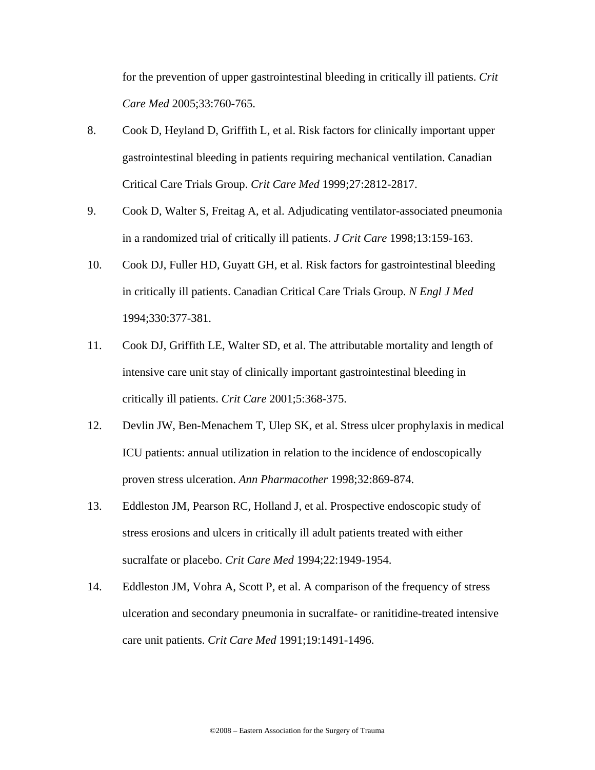for the prevention of upper gastrointestinal bleeding in critically ill patients. *Crit Care Med* 2005;33:760-765.

- 8. Cook D, Heyland D, Griffith L, et al. Risk factors for clinically important upper gastrointestinal bleeding in patients requiring mechanical ventilation. Canadian Critical Care Trials Group. *Crit Care Med* 1999;27:2812-2817.
- 9. Cook D, Walter S, Freitag A, et al. Adjudicating ventilator-associated pneumonia in a randomized trial of critically ill patients. *J Crit Care* 1998;13:159-163.
- 10. Cook DJ, Fuller HD, Guyatt GH, et al. Risk factors for gastrointestinal bleeding in critically ill patients. Canadian Critical Care Trials Group. *N Engl J Med*  1994;330:377-381.
- 11. Cook DJ, Griffith LE, Walter SD, et al. The attributable mortality and length of intensive care unit stay of clinically important gastrointestinal bleeding in critically ill patients. *Crit Care* 2001;5:368-375.
- 12. Devlin JW, Ben-Menachem T, Ulep SK, et al. Stress ulcer prophylaxis in medical ICU patients: annual utilization in relation to the incidence of endoscopically proven stress ulceration. *Ann Pharmacother* 1998;32:869-874.
- 13. Eddleston JM, Pearson RC, Holland J, et al. Prospective endoscopic study of stress erosions and ulcers in critically ill adult patients treated with either sucralfate or placebo. *Crit Care Med* 1994;22:1949-1954.
- 14. Eddleston JM, Vohra A, Scott P, et al. A comparison of the frequency of stress ulceration and secondary pneumonia in sucralfate- or ranitidine-treated intensive care unit patients. *Crit Care Med* 1991;19:1491-1496.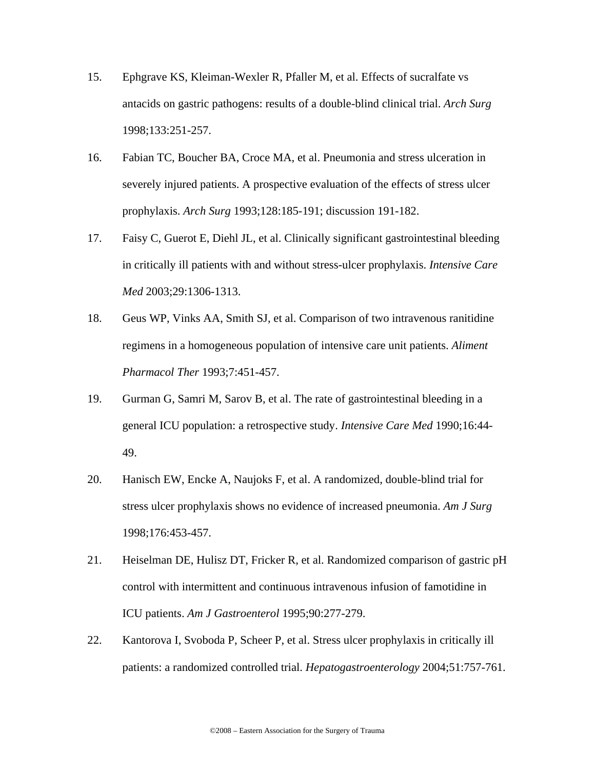- 15. Ephgrave KS, Kleiman-Wexler R, Pfaller M, et al. Effects of sucralfate vs antacids on gastric pathogens: results of a double-blind clinical trial. *Arch Surg*  1998;133:251-257.
- 16. Fabian TC, Boucher BA, Croce MA, et al. Pneumonia and stress ulceration in severely injured patients. A prospective evaluation of the effects of stress ulcer prophylaxis. *Arch Surg* 1993;128:185-191; discussion 191-182.
- 17. Faisy C, Guerot E, Diehl JL, et al. Clinically significant gastrointestinal bleeding in critically ill patients with and without stress-ulcer prophylaxis. *Intensive Care Med* 2003;29:1306-1313.
- 18. Geus WP, Vinks AA, Smith SJ, et al. Comparison of two intravenous ranitidine regimens in a homogeneous population of intensive care unit patients. *Aliment Pharmacol Ther* 1993;7:451-457.
- 19. Gurman G, Samri M, Sarov B, et al. The rate of gastrointestinal bleeding in a general ICU population: a retrospective study. *Intensive Care Med* 1990;16:44- 49.
- 20. Hanisch EW, Encke A, Naujoks F, et al. A randomized, double-blind trial for stress ulcer prophylaxis shows no evidence of increased pneumonia. *Am J Surg*  1998;176:453-457.
- 21. Heiselman DE, Hulisz DT, Fricker R, et al. Randomized comparison of gastric pH control with intermittent and continuous intravenous infusion of famotidine in ICU patients. *Am J Gastroenterol* 1995;90:277-279.
- 22. Kantorova I, Svoboda P, Scheer P, et al. Stress ulcer prophylaxis in critically ill patients: a randomized controlled trial. *Hepatogastroenterology* 2004;51:757-761.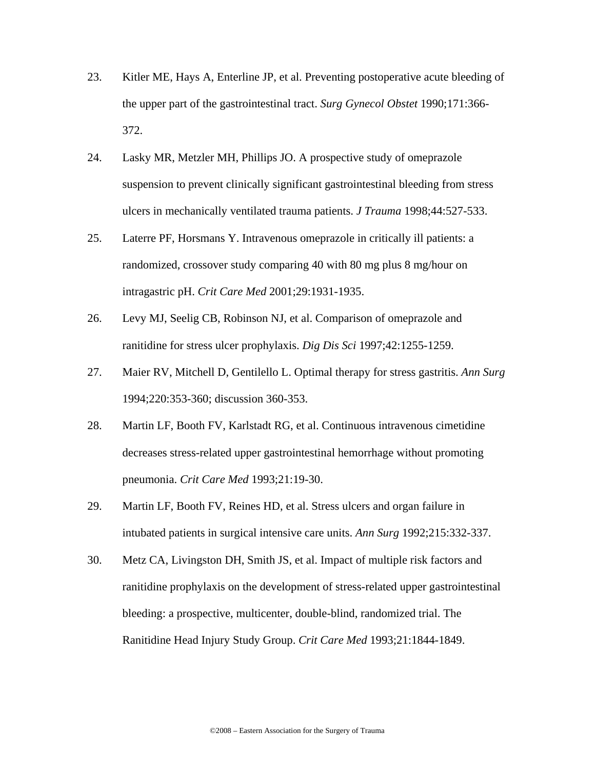- 23. Kitler ME, Hays A, Enterline JP, et al. Preventing postoperative acute bleeding of the upper part of the gastrointestinal tract. *Surg Gynecol Obstet* 1990;171:366- 372.
- 24. Lasky MR, Metzler MH, Phillips JO. A prospective study of omeprazole suspension to prevent clinically significant gastrointestinal bleeding from stress ulcers in mechanically ventilated trauma patients. *J Trauma* 1998;44:527-533.
- 25. Laterre PF, Horsmans Y. Intravenous omeprazole in critically ill patients: a randomized, crossover study comparing 40 with 80 mg plus 8 mg/hour on intragastric pH. *Crit Care Med* 2001;29:1931-1935.
- 26. Levy MJ, Seelig CB, Robinson NJ, et al. Comparison of omeprazole and ranitidine for stress ulcer prophylaxis. *Dig Dis Sci* 1997;42:1255-1259.
- 27. Maier RV, Mitchell D, Gentilello L. Optimal therapy for stress gastritis. *Ann Surg*  1994;220:353-360; discussion 360-353.
- 28. Martin LF, Booth FV, Karlstadt RG, et al. Continuous intravenous cimetidine decreases stress-related upper gastrointestinal hemorrhage without promoting pneumonia. *Crit Care Med* 1993;21:19-30.
- 29. Martin LF, Booth FV, Reines HD, et al. Stress ulcers and organ failure in intubated patients in surgical intensive care units. *Ann Surg* 1992;215:332-337.
- 30. Metz CA, Livingston DH, Smith JS, et al. Impact of multiple risk factors and ranitidine prophylaxis on the development of stress-related upper gastrointestinal bleeding: a prospective, multicenter, double-blind, randomized trial. The Ranitidine Head Injury Study Group. *Crit Care Med* 1993;21:1844-1849.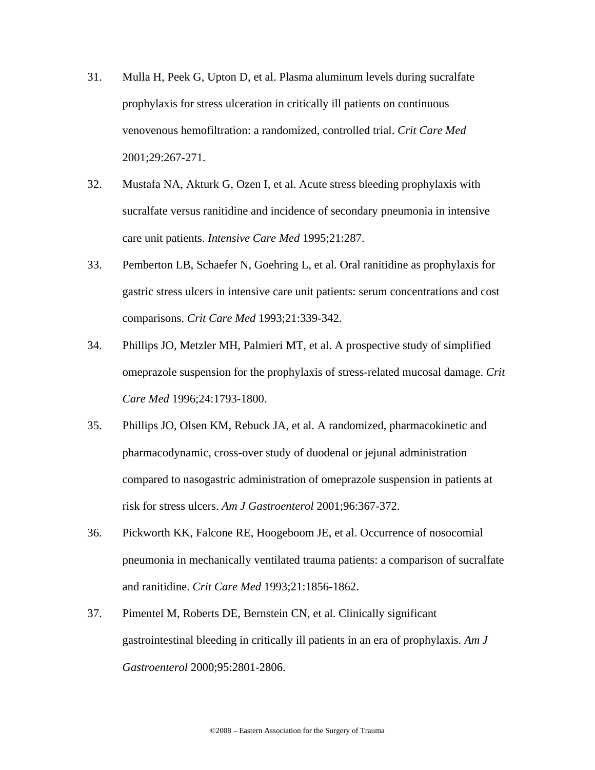- 31. Mulla H, Peek G, Upton D, et al. Plasma aluminum levels during sucralfate prophylaxis for stress ulceration in critically ill patients on continuous venovenous hemofiltration: a randomized, controlled trial. *Crit Care Med*  2001;29:267-271.
- 32. Mustafa NA, Akturk G, Ozen I, et al. Acute stress bleeding prophylaxis with sucralfate versus ranitidine and incidence of secondary pneumonia in intensive care unit patients. *Intensive Care Med* 1995;21:287.
- 33. Pemberton LB, Schaefer N, Goehring L, et al. Oral ranitidine as prophylaxis for gastric stress ulcers in intensive care unit patients: serum concentrations and cost comparisons. *Crit Care Med* 1993;21:339-342.
- 34. Phillips JO, Metzler MH, Palmieri MT, et al. A prospective study of simplified omeprazole suspension for the prophylaxis of stress-related mucosal damage. *Crit Care Med* 1996;24:1793-1800.
- 35. Phillips JO, Olsen KM, Rebuck JA, et al. A randomized, pharmacokinetic and pharmacodynamic, cross-over study of duodenal or jejunal administration compared to nasogastric administration of omeprazole suspension in patients at risk for stress ulcers. *Am J Gastroenterol* 2001;96:367-372.
- 36. Pickworth KK, Falcone RE, Hoogeboom JE, et al. Occurrence of nosocomial pneumonia in mechanically ventilated trauma patients: a comparison of sucralfate and ranitidine. *Crit Care Med* 1993;21:1856-1862.
- 37. Pimentel M, Roberts DE, Bernstein CN, et al. Clinically significant gastrointestinal bleeding in critically ill patients in an era of prophylaxis. *Am J Gastroenterol* 2000;95:2801-2806.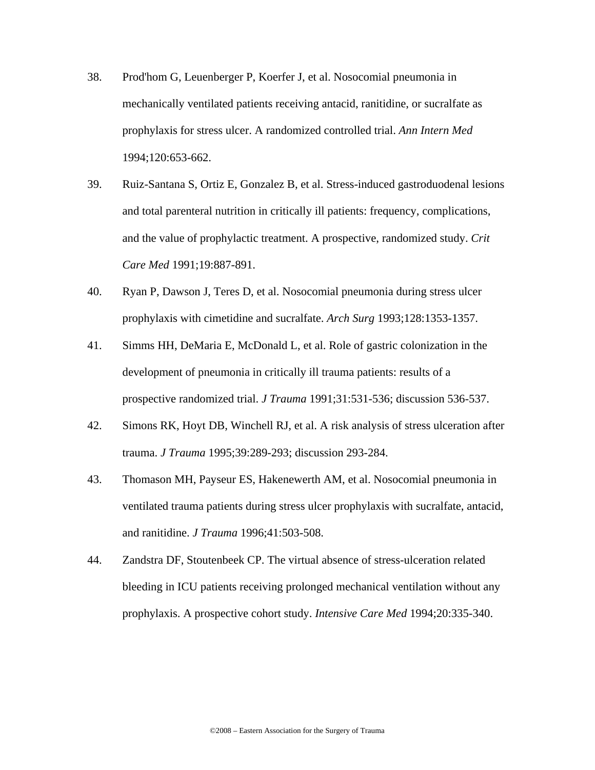- 38. Prod'hom G, Leuenberger P, Koerfer J, et al. Nosocomial pneumonia in mechanically ventilated patients receiving antacid, ranitidine, or sucralfate as prophylaxis for stress ulcer. A randomized controlled trial. *Ann Intern Med*  1994;120:653-662.
- 39. Ruiz-Santana S, Ortiz E, Gonzalez B, et al. Stress-induced gastroduodenal lesions and total parenteral nutrition in critically ill patients: frequency, complications, and the value of prophylactic treatment. A prospective, randomized study. *Crit Care Med* 1991;19:887-891.
- 40. Ryan P, Dawson J, Teres D, et al. Nosocomial pneumonia during stress ulcer prophylaxis with cimetidine and sucralfate. *Arch Surg* 1993;128:1353-1357.
- 41. Simms HH, DeMaria E, McDonald L, et al. Role of gastric colonization in the development of pneumonia in critically ill trauma patients: results of a prospective randomized trial. *J Trauma* 1991;31:531-536; discussion 536-537.
- 42. Simons RK, Hoyt DB, Winchell RJ, et al. A risk analysis of stress ulceration after trauma. *J Trauma* 1995;39:289-293; discussion 293-284.
- 43. Thomason MH, Payseur ES, Hakenewerth AM, et al. Nosocomial pneumonia in ventilated trauma patients during stress ulcer prophylaxis with sucralfate, antacid, and ranitidine. *J Trauma* 1996;41:503-508.
- 44. Zandstra DF, Stoutenbeek CP. The virtual absence of stress-ulceration related bleeding in ICU patients receiving prolonged mechanical ventilation without any prophylaxis. A prospective cohort study. *Intensive Care Med* 1994;20:335-340.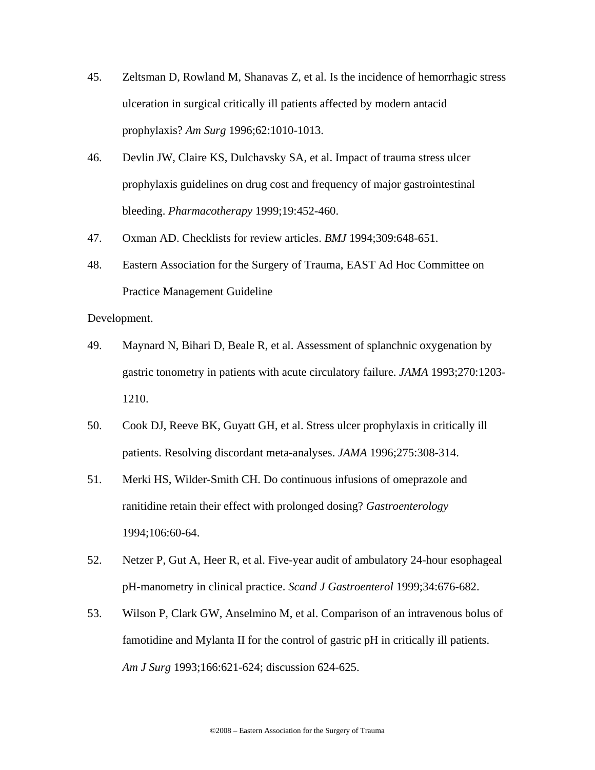- 45. Zeltsman D, Rowland M, Shanavas Z, et al. Is the incidence of hemorrhagic stress ulceration in surgical critically ill patients affected by modern antacid prophylaxis? *Am Surg* 1996;62:1010-1013.
- 46. Devlin JW, Claire KS, Dulchavsky SA, et al. Impact of trauma stress ulcer prophylaxis guidelines on drug cost and frequency of major gastrointestinal bleeding. *Pharmacotherapy* 1999;19:452-460.
- 47. Oxman AD. Checklists for review articles. *BMJ* 1994;309:648-651.
- 48. Eastern Association for the Surgery of Trauma, EAST Ad Hoc Committee on Practice Management Guideline

Development.

- 49. Maynard N, Bihari D, Beale R, et al. Assessment of splanchnic oxygenation by gastric tonometry in patients with acute circulatory failure. *JAMA* 1993;270:1203- 1210.
- 50. Cook DJ, Reeve BK, Guyatt GH, et al. Stress ulcer prophylaxis in critically ill patients. Resolving discordant meta-analyses. *JAMA* 1996;275:308-314.
- 51. Merki HS, Wilder-Smith CH. Do continuous infusions of omeprazole and ranitidine retain their effect with prolonged dosing? *Gastroenterology*  1994;106:60-64.
- 52. Netzer P, Gut A, Heer R, et al. Five-year audit of ambulatory 24-hour esophageal pH-manometry in clinical practice. *Scand J Gastroenterol* 1999;34:676-682.
- 53. Wilson P, Clark GW, Anselmino M, et al. Comparison of an intravenous bolus of famotidine and Mylanta II for the control of gastric pH in critically ill patients. *Am J Surg* 1993;166:621-624; discussion 624-625.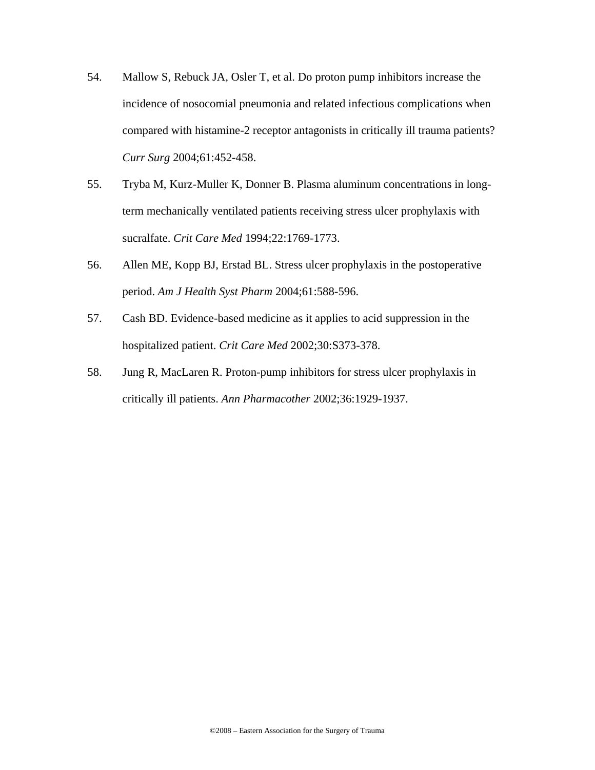- 54. Mallow S, Rebuck JA, Osler T, et al. Do proton pump inhibitors increase the incidence of nosocomial pneumonia and related infectious complications when compared with histamine-2 receptor antagonists in critically ill trauma patients? *Curr Surg* 2004;61:452-458.
- 55. Tryba M, Kurz-Muller K, Donner B. Plasma aluminum concentrations in longterm mechanically ventilated patients receiving stress ulcer prophylaxis with sucralfate. *Crit Care Med* 1994;22:1769-1773.
- 56. Allen ME, Kopp BJ, Erstad BL. Stress ulcer prophylaxis in the postoperative period. *Am J Health Syst Pharm* 2004;61:588-596.
- 57. Cash BD. Evidence-based medicine as it applies to acid suppression in the hospitalized patient. *Crit Care Med* 2002;30:S373-378.
- 58. Jung R, MacLaren R. Proton-pump inhibitors for stress ulcer prophylaxis in critically ill patients. *Ann Pharmacother* 2002;36:1929-1937.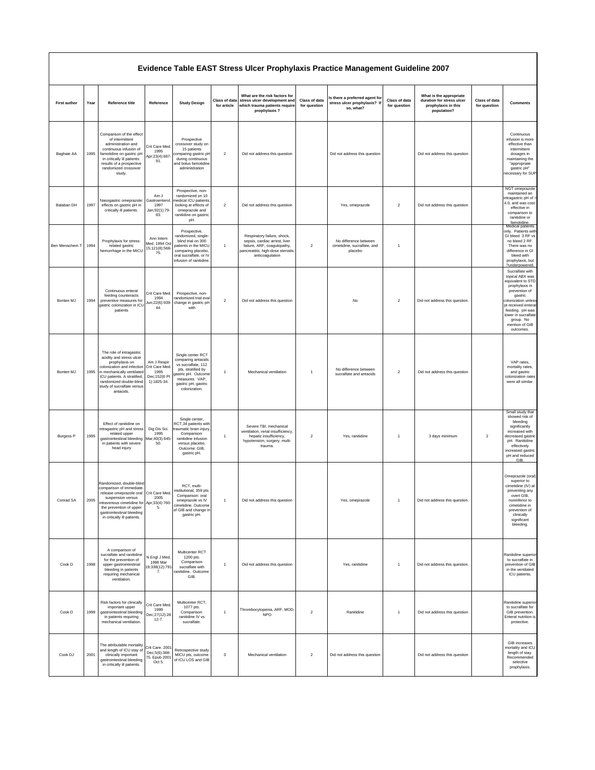#### **Evidence Table EAST Stress Ulcer Prophylaxis Practice Management Guideline 2007**

| <b>First author</b> | Year | Reference title                                                                                                                                                                                                                         | Reference                                                             | <b>Study Design</b>                                                                                                                                                  | Class of data<br>for article | What are the risk factors for<br>stress ulcer development and<br>which trauma patients require<br>prophylaxis?                                      | Class of data<br>for question | Is there a preferred agent for<br>stress ulcer prophylaxis? If<br>so, what? | Class of data<br>for question | What is the appropriate<br>duration for stress ulcer<br>prophylaxis in this<br>population? | Class of data<br>for question | <b>Comments</b>                                                                                                                                                                                                                           |
|---------------------|------|-----------------------------------------------------------------------------------------------------------------------------------------------------------------------------------------------------------------------------------------|-----------------------------------------------------------------------|----------------------------------------------------------------------------------------------------------------------------------------------------------------------|------------------------------|-----------------------------------------------------------------------------------------------------------------------------------------------------|-------------------------------|-----------------------------------------------------------------------------|-------------------------------|--------------------------------------------------------------------------------------------|-------------------------------|-------------------------------------------------------------------------------------------------------------------------------------------------------------------------------------------------------------------------------------------|
| Baghaie AA          | 1995 | Comparison of the effect<br>of intermittent<br>administration and<br>continuous infusion of<br>famotidine on gastric pH<br>in critically ill patients:<br>results of a prospective<br>randomized crossover<br>study.                    | Crit Care Med.<br>1995<br>Apr;23(4):687<br>91.                        | Prospective<br>crossover study on<br>15 patients<br>comparing gastric pH<br>during continuous<br>and bolus famotidine<br>administration                              | $\overline{2}$               | Did not address this question                                                                                                                       |                               | Did not address this question                                               |                               | Did not address this question                                                              |                               | Continuous<br>infusion is more<br>effective than<br>intermittent<br>dosages in<br>maintaining the<br>"appropriate<br>gastric pH"<br>necessary for SUP                                                                                     |
| Balaban DH          | 1997 | Nasogastric omeprazole:<br>effects on gastric pH in<br>critically ill patients.                                                                                                                                                         | Am J<br>Gastroenterol<br>1997<br>Jan;92(1):79-<br>83.                 | Prospective, non-<br>randomized on 10<br>nedical ICU patients<br>looking at effects of<br>omeprazole and<br>ranitidine on gastric<br>pH.                             | $\mathbf{2}$                 | Did not address this question                                                                                                                       |                               | Yes, omeprazole                                                             | $\overline{\mathbf{c}}$       | Did not address this question                                                              |                               | NGT omeprazole<br>maintained an<br>intragastric pH of<br>4.0, and was cost-<br>effective in<br>comparison to<br>ranitidine or<br>famotidine.                                                                                              |
| Ben Menachem T      | 1994 | Prophylaxis for stress-<br>related gastric<br>hemorrhage in the MICU                                                                                                                                                                    | Ann Intern<br>Med. 1994 Oct<br>15;121(8):568-<br>75.                  | Prospective,<br>randomized, single-<br>blind trial on 300<br>patients in the MICU<br>comparing placebo,<br>oral sucralfate, or IV<br>infusion of ranitidine.         | $\mathbf{1}$                 | Respiratory failure, shock,<br>sepsis, cardiac arrest, liver<br>failure, ARF, coagulopathy,<br>pancreatitis, high-dose steroids,<br>anticoagulation | $\sqrt{2}$                    | No difference between<br>cimetidine, sucralfate, and<br>placebo             | $\overline{1}$                |                                                                                            |                               | Medical patients<br>only. Patients with<br>GI bleed 3 RF vs<br>no bleed 2 RF.<br>There was no<br>difference in GI<br>bleed with<br>prophylaxis, but<br>?underpowered.                                                                     |
| Bonten MJ           | 1994 | Continuous enteral<br>feeding counteracts<br>preventive measures for<br>gastric colonization in ICL<br>patients                                                                                                                         | Crit Care Med.<br>1994<br>Jun;22(6):939-<br>44.                       | Prospective, non-<br>randomized trial eval<br>change in gastric pH<br>with                                                                                           | $\overline{\mathbf{2}}$      | Did not address this question                                                                                                                       |                               | No                                                                          | $\overline{2}$                | Did not address this question.                                                             |                               | Sucralfate with<br>topical ABX was<br>equivalent to STD<br>prophylaxis in<br>prevention of<br>gastric<br>colonization unless<br>pt received enteral<br>feeding. pH was<br>lower in sucralfate<br>group. No<br>mention of GIB<br>outcomes. |
| Bonten MJ           | 1995 | The role of intragastric<br>acidity and stress ulcer<br>prophylaxis on<br>colonization and infection<br>in mechanically ventilated<br>ICU patients. A stratified,<br>randomized double-blind<br>study of sucralfate versus<br>antacids. | Am J Respir<br>Crit Care Med.<br>1995<br>Dec; 152(6 Pt<br>1):1825-34. | Single center RCT<br>comparing antacids<br>vs sucralfate, 112<br>pts, stratified by<br>gastric pH. Outcome<br>measures: VAP,<br>gastric pH, gastric<br>colonization. | $\mathbf{1}$                 | Mechanical ventilation                                                                                                                              | $\overline{1}$                | No difference between<br>sucralfate and antacids                            | $\overline{\mathbf{2}}$       | Did not address this question                                                              |                               | VAP rates,<br>mortality rates,<br>and gastric<br>colonization rates<br>were all similar.                                                                                                                                                  |
| <b>Burgess P</b>    | 1995 | Effect of ranitidine on<br>ntragastric pH and stress<br>related upper<br>gastrointestinal bleeding<br>in patients with severe<br>head injury                                                                                            | Dig Dis Sci.<br>1995<br>Mar;40(3):645-<br>50.                         | Single center,<br>RCT,34 patients with<br>traumatic brain injury.<br>Comparison:<br>ranitidine infusion<br>versus placebo.<br>Outcome: GIB,<br>gastric pH.           | $\mathbf{1}$                 | Severe TBI, mechanical<br>ventilation, renal insufficiency,<br>hepatic insufficiency,<br>hypotension, surgery, multi-<br>trauma.                    | $\boldsymbol{2}$              | Yes, ranitidine                                                             | $\overline{1}$                | 3 days minimum                                                                             | $\sqrt{2}$                    | Small study that<br>showed risk of<br>bleeding<br>significantly<br>increased with<br>decreased gastric<br>pH. Ranitidine<br>effectively<br>increased gastric<br>pH and reduced<br>GIB                                                     |
| Conrad SA           | 2005 | Randomized, double-bling<br>comparison of immediate<br>release omeprazole oral<br>suspension versus<br>intravenous cimetidine for Apr;33(4):760-<br>the prevention of upper<br>gastrointestinal bleeding<br>in critically ill patients. | Crit Care Med.<br>2005<br>5.                                          | RCT, multi-<br>institutional, 359 pts.<br>Comparison: oral<br>omeprazole vs IV<br>cimetidine. Outcome<br>of GIB and change in<br>gastric pH.                         | $\mathbf{1}$                 | Did not address this question                                                                                                                       |                               | Yes, omeprazole                                                             | $\overline{1}$                | Did not address this question.                                                             |                               | Omeprazole (oral)<br>superior to<br>cimetidine (IV) at<br>preventing any<br>overt GIB.<br>noninferior to<br>cimetidine in<br>prevention of<br>clinically<br>significant<br>bleeding.                                                      |
| Cook D              | 1998 | A comparison of<br>sucralfate and ranitidine<br>for the prevention of<br>upper gastrointestinal<br>bleeding in patients<br>requiring mechanical<br>ventilation.                                                                         | N Engl J Med.<br>1998 Mar<br>19;338(12):791<br>7.                     | Multicenter RCT<br>1200 pts.<br>Comparison<br>sucralfate with<br>ranitidine. Outcome:<br>GIB.                                                                        | $\mathbf{1}$                 | Did not address this question                                                                                                                       |                               | Yes, ranitidine                                                             | $\overline{1}$                | Did not address this question.                                                             |                               | Ranitidine superior<br>to sucralfate in<br>prevention of GIB<br>in the ventilated<br>ICU patients.                                                                                                                                        |
| Cook D              | 1999 | Risk factors for clinically<br>important upper<br>gastrointestinal bleeding<br>in patients requiring<br>mechanical ventilation.                                                                                                         | Crit Care Med.<br>1999<br>Dec;27(12):28<br>$12 - 7.$                  | Multicenter RCT,<br>1077 pts.<br>Comparison:<br>ranitidine IV vs<br>sucralfate.                                                                                      | $\mathbf{1}$                 | Thrombocytopenia, ARF, MOD,<br><b>NPO</b>                                                                                                           | $\overline{2}$                | Ranitidine                                                                  | $\overline{1}$                | Did not address this question                                                              |                               | Ranitidine superior<br>to sucralfate for<br>GIB prevention.<br>Enteral nutrition is<br>protective.                                                                                                                                        |
| Cook DJ             | 2001 | The attributable mortality<br>and length of ICU stay of<br>clinically important<br>gastrointestinal bleeding<br>in critically ill patients.                                                                                             | Crit Care. 2001<br>Dec;5(6):368-<br>75. Epub 2001<br>Oct 5.           | Retrospective study<br>MICU pts, outcome<br>of ICU LOS and GIB                                                                                                       | 3                            | Mechanical ventilation                                                                                                                              | $\boldsymbol{2}$              | Did not address this question                                               |                               | Did not address this question                                                              |                               | GIB increases<br>mortality and ICU<br>length of stay.<br>Recommended<br>selective<br>prophylaxis.                                                                                                                                         |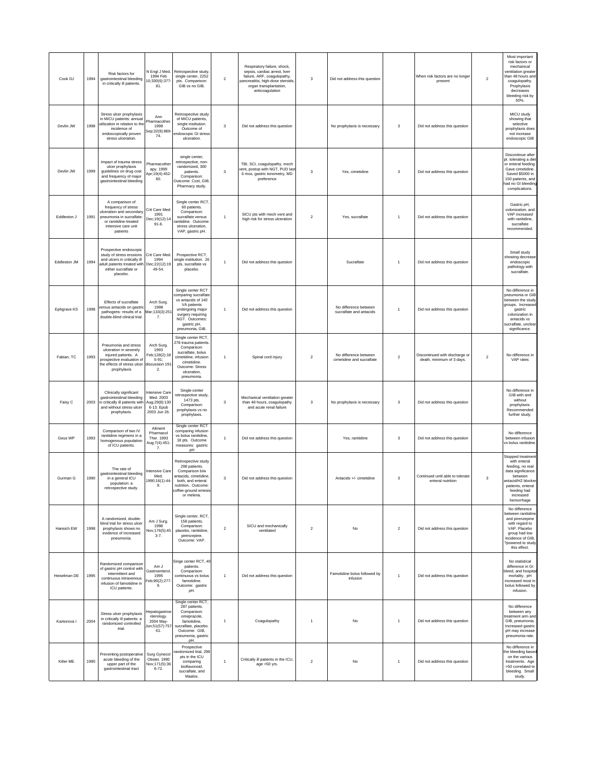| Cook DJ      | 1994 | Risk factors for<br>gastrointestinal bleeding<br>in critically ill patients.                                                                              | N Engl J Med.<br>1994 Feb<br>0;330(6):377-<br>81.                                 | Retrospective study<br>single center, 2252<br>pts. Comparison:<br>GIB vs no GIB.                                                                                            | $\overline{2}$ | Respiratory failure, shock,<br>sepsis, cardiac arrest, liver<br>failure, ARF, coagulopathy,<br>ancreatitis, high-dose steroids,<br>organ transplantation,<br>anticoagulation | 3                | Did not address this question                      |                | When risk factors are no longer<br>present                  | $\sqrt{2}$     | Most important<br>risk factors or<br>mechanical<br>ventilation greater<br>than 48 hours and<br>coagulopathy.<br>Prophylaxis<br>decreases<br>bleeding risk by<br>50%.       |
|--------------|------|-----------------------------------------------------------------------------------------------------------------------------------------------------------|-----------------------------------------------------------------------------------|-----------------------------------------------------------------------------------------------------------------------------------------------------------------------------|----------------|------------------------------------------------------------------------------------------------------------------------------------------------------------------------------|------------------|----------------------------------------------------|----------------|-------------------------------------------------------------|----------------|----------------------------------------------------------------------------------------------------------------------------------------------------------------------------|
| Devlin JW    | 1998 | Stress ulcer prophylaxis<br>in MICU patients: annual<br>utilization in relation to the<br>incidence of<br>endoscopically proven<br>stress ulceration.     | Ann<br>Pharmacother<br>1998<br>Sep;32(9):869-<br>74.                              | Retrospective study<br>of MICU patients,<br>single institution.<br>Outcome of<br>endoscopic GI stress<br>ulceration.                                                        | 3              | Did not address this question                                                                                                                                                |                  | No prophylaxis is necessary                        | 3              | Did not address this question                               |                | MICU study<br>showing that<br>selective<br>prophylaxis does<br>not increase<br>endoscopic GIB                                                                              |
| Devlin JW    | 1999 | Impact of trauma stress<br>ulcer prophylaxis<br>guidelines on drug cost<br>and frequency of major<br>gastrointestinal bleeding                            | Pharmacothe<br>apy. 1999<br>Apr;19(4):452-<br>60.                                 | single center,<br>retrospective, non-<br>randomized, 300<br>patients.<br>Comparison:<br>Outcome: Cost, GIB.<br>Pharmacy study.                                              | $\mathbf 3$    | TBI, SCI, coagulopathy, mech<br>vent, postop with NGT, PUD last<br>6 mos, gastric tonometry, MD<br>preference                                                                | 3                | Yes, cimetidine                                    | 3              | Did not address this question                               |                | Discontinue after<br>pt. tolerating a diet<br>or enteral feeding.<br>Gave cimetidine.<br>Saved \$5000 in<br>150 patients, and<br>had no GI bleeding<br>complications.      |
| Eddleston J  | 1991 | A comparison of<br>frequency of stress<br>ulceration and secondan<br>pneumonia in sucralfate-<br>or ranitidine-treated<br>intensive care unit<br>patients | Crit Care Med.<br>1991<br>Dec; 19(12): 14<br>$91 - 6.$                            | Single center RCT,<br>60 patients.<br>Comparison:<br>sucralfate versus<br>ranitidine. Outcome:<br>stress ulceration,<br>VAP, gastric pH.                                    | $\mathbf{1}$   | SICU pts with mech vent and<br>high risk for stress ulceration                                                                                                               | $\overline{2}$   | Yes, sucralfate                                    |                | Did not address this question                               |                | Gastric pH,<br>colonization, and<br>VAP increased<br>with ranitidine.<br>sucralfate<br>recommended.                                                                        |
| Fddleston JM | 1994 | Prospective endoscopic<br>study of stress erosions<br>and ulcers in critically ill<br>adult patients treated with<br>either sucralfate or<br>placebo.     | Crit Care Med.<br>1994<br>Dec;22(12):19<br>49-54.                                 | Prospective RCT,<br>single institution. 26<br>pts, sucralfate vs<br>placebo.                                                                                                | $\mathbf{1}$   | Did not address this question                                                                                                                                                |                  | Sucralfate                                         | $\overline{1}$ | Did not address this question                               |                | Small study<br>showing decrease<br>endoscopic<br>pathology with<br>sucralfate.                                                                                             |
| Ephgrave KS  | 1998 | Effects of sucralfate<br>versus antacids on gastrio<br>pathogens: results of a<br>double-blind clinical trial.                                            | Arch Surg.<br>1998<br>Mar;133(3):251<br>7.                                        | Single center RCT<br>comparing sucralfate<br>vs antacids of 140<br>VA patients<br>undergoing major<br>surgery requiring<br>NGT. Outcomes:<br>gastric pH,<br>pneumonia, GIB. | $\mathbf{1}$   | Did not address this question                                                                                                                                                |                  | No difference between<br>sucralfate and antacids   | $\overline{1}$ | Did not address this question                               |                | No difference in<br>pneumonia or GIB<br>between the study<br>groups. Increased<br>gastric<br>colonization in<br>antacids vs<br>sucralfate, unclear<br>significance.        |
| Fabian, TC   | 1993 | Pneumonia and stress<br>ulceration in severely<br>injured patients. A<br>prospective evaluation o<br>the effects of stress ulcer<br>prophylaxis           | Arch Surg.<br>1993<br>eb;128(2):18<br>$5-91;$<br>discussion 191<br>$\overline{2}$ | Single center RCT,<br>278 trauma patients<br>Comparison:<br>sucralfate, bolus<br>cimetidine, infusion<br>cimetidine.<br>Outcome: Stress<br>ulceration.<br>pneumonia.        | $\overline{1}$ | Spinal cord injury                                                                                                                                                           | $\overline{2}$   | No difference between<br>cimetidine and sucralfate | $\overline{2}$ | Discontinued with discharge or<br>death, minimum of 3 days. | $\overline{2}$ | No difference in<br>VAP rates                                                                                                                                              |
| Faisy C      | 2003 | Clinically significant<br>gastrointestinal bleeding<br>in critically ill patients with<br>and without stress-ulcer<br>prophylaxis.                        | Intensive Care<br>Med. 2003<br>Aug;29(8):130<br>6-13. Epub<br>2003 Jun 26.        | Single-center<br>retrospective study,<br>1473 pts.<br>Comparison:<br>prophylaxis vs no<br>prophylaxis.                                                                      | 3              | Mechanical ventilation greater<br>than 48 hours, coagulopathy<br>and acute renal failure                                                                                     | 3                | No prophylaxis is necessary                        | 3              | Did not address this question                               |                | No difference in<br>GIB with and<br>without<br>prophylaxis.<br>Recommended<br>further study                                                                                |
| Geus WP      | 1993 | Comparison of two IV<br>ranitidine regimens in a<br>homogenous population<br>of ICU patients.                                                             | Aliment<br>Pharmacol<br>Ther. 1993<br>Aug; 7(4): 451<br>7.                        | Single center RCT<br>comparing infusion<br>vs bolus ranitidine,<br>18 pts. Outcome<br>measures: gastric<br>pH                                                               | $\mathbf{1}$   | Did not address this question                                                                                                                                                |                  | Yes, ranitidine                                    | 3              | Did not address this question                               |                | No difference<br>between infusion<br>vs bolus ranitidine                                                                                                                   |
| Gurman G     | 1990 | The rate of<br>gastrointestinal bleeding<br>in a general ICU<br>population: a<br>retrospective study.                                                     | Intensive Care<br>Med.<br>1990;16(1):44-<br>9.                                    | Retrospective study<br>298 patients.<br>Comparison b/w<br>antacids, cimetidine,<br>both, and enteral<br>nutrition. Outcome:<br>coffee-ground emesis<br>or melena.           | 3              | Did not address this question                                                                                                                                                |                  | Antacids +/- cimetidine                            | 3              | Continued until able to tolerate<br>enteral nutrition       | 3              | Stopped treatment<br>with enteral<br>feeding, no real<br>data significance<br>between<br>antacid/H2 blocker<br>patients, enteral<br>feeding had<br>increased<br>hemorrhage |
| Hansich EW   | 1998 | A randomized, double-<br>blind trial for stress ulcer<br>prophylaxis shows no<br>evidence of increased<br>pneumonia.                                      | Am J Surg.<br>1998<br>Nov; 176(5): 45<br>$3 - 7$ .                                | Single center, RCT,<br>158 patients.<br>Comparison:<br>placebo, ranitidine,<br>pirenzepine.<br>Outcome: VAP.                                                                | $\mathbf 2$    | SICU and mechanically<br>ventilated                                                                                                                                          | $\boldsymbol{2}$ | No                                                 | $\sqrt{2}$     | Did not address this question                               |                | No difference<br>between ranitidine<br>and pirenzepine<br>with regard to<br>VAP. Placebo<br>group had low<br>incidence of GIB,<br>?powered to study<br>this effect.        |
| Heiselman DE | 1995 | Randomized comparison<br>of gastric pH control with<br>intermittent and<br>continuous intravenous<br>infusion of famotidine in<br>ICU patients.           | Am J<br>Gastroenterol.<br>1995<br>Feb;90(2):277-<br>9.                            | Singe center RCT, 40<br>patients.<br>Comparison:<br>continuous vs bolus<br>famotidine.<br>Outcome: gastric<br>pH.                                                           | $\mathbf{1}$   | Did not address this question                                                                                                                                                |                  | Famotidine bolus followed by<br>infusion           | -1             | Did not address this question                               |                | No statistical<br>difference in GI<br>bleed, and hospital<br>mortality. pH<br>increased most in<br>bolus followed by<br>infusion.                                          |
| Kantorova I  | 2004 | Stress ulcer prophylaxis<br>in critically ill patients: a<br>randomized controlled<br>trial.                                                              | lepatogastroe<br>nterology.<br>2004 May-<br>Jun;51(57):757-<br>61.                | Single center RCT,<br>287 patients.<br>Comparison:<br>omeprazole,<br>famotidine,<br>sucralfate, placebo.<br>Outcome: GIB,<br>pneumonia, gastric<br>pH.                      | $\mathbf{1}$   | Coagulopathy                                                                                                                                                                 | $\overline{1}$   | No                                                 | $\overline{1}$ | Did not address this question                               |                | No difference<br>between any<br>treatment arm and<br>GIB, pneumonia.<br>Increased gastric<br>pH may increase<br>pneumonia rate.                                            |
| Kitler ME    | 1990 | Preventing postoperative<br>acute bleeding of the<br>upper part of the<br>gastrointestinal tract                                                          | Surg Gynecol<br>Obstet. 1990<br>Nov;171(5):36<br>$6 - 72$                         | Prospective<br>andomized trial, 298<br>pts in the ICU<br>comparing<br>bioflavonoid,<br>sucralfate, and<br>Maalox.                                                           | $\mathbf{1}$   | Critically ill patients in the ICU,<br>age >50 yrs.                                                                                                                          | $\boldsymbol{2}$ | No                                                 | $\overline{1}$ | Did not address this question                               |                | No difference in<br>the bleeding based<br>on the various<br>treatments. Age<br>>50 correlated to<br>bleeding. Small<br>study.                                              |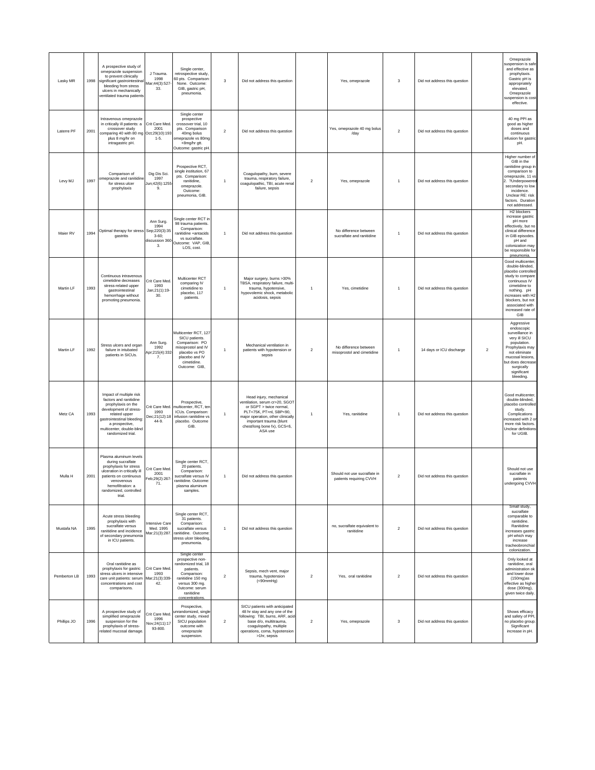| Lasky MR     | 1998 | A prospective study of<br>omeprazole suspension<br>to prevent clinically<br>significant gastrointestina<br>bleeding from stress<br>ulcers in mechanically<br>ventilated trauma patients                              | J Trauma.<br>1998<br>Mar;44(3):527<br>33.               | Single center,<br>retrospective study,<br>60 pts. Comparison<br>None. Outcome:<br>GIB, gastric pH,<br>pneumonia.                                                                | 3                       | Did not address this question                                                                                                                                                                                            |                  | Yes, omeprazole                                         | 3              | Did not address this question |                         | Omeprazole<br>suspension is safe<br>and effective as<br>prophylaxis.<br>Gastric pH is<br>appropriately<br>elevated.<br>Omeprazole<br>suspension is cost-<br>effective.                                                   |
|--------------|------|----------------------------------------------------------------------------------------------------------------------------------------------------------------------------------------------------------------------|---------------------------------------------------------|---------------------------------------------------------------------------------------------------------------------------------------------------------------------------------|-------------------------|--------------------------------------------------------------------------------------------------------------------------------------------------------------------------------------------------------------------------|------------------|---------------------------------------------------------|----------------|-------------------------------|-------------------------|--------------------------------------------------------------------------------------------------------------------------------------------------------------------------------------------------------------------------|
| Laterre PF   | 2001 | Intravenous omeprazole<br>in critically ill patients: a<br>crossover study<br>comparing 40 with 80 mg Oct;29(10):193<br>plus 8 mg/hr on<br>intragastric pH.                                                          | Crit Care Med<br>2001<br>$1 - 5.$                       | Single center<br>prospective<br>crossover trial, 10<br>pts. Comparison<br>40mg bolus<br>omeprazole vs 80mg<br>+8mg/hr gtt.<br>Outcome: gastric pH.                              | $\overline{\mathbf{c}}$ | Did not address this question                                                                                                                                                                                            |                  | Yes, omeprazole 40 mg bolus<br>/day                     | $\sqrt{2}$     | Did not address this question |                         | 40 mg PPI as<br>good as higher<br>doses and<br>continuous<br>infusion for gastric<br>pH.                                                                                                                                 |
| Levy MJ      | 1997 | Comparison of<br>omeprazole and ranitidin<br>for stress ulcer<br>prophylaxis                                                                                                                                         | Dig Dis Sci.<br>1997<br>Jun;42(6):1255<br>9.            | Prospective RCT,<br>single institution, 67<br>pts. Comparison:<br>ranitidine,<br>omeprazole.<br>Outcome:<br>pneumonia, GIB.                                                     | $\mathbf{1}$            | Coagulopathy, burn, severe<br>trauma, respiratory failure.<br>coagulopathic, TBI, acute renal<br>failure, sepsis                                                                                                         | $\overline{2}$   | Yes, omeprazole                                         | $\overline{1}$ | Did not address this question |                         | Higher number of<br>GIB in the<br>ranitidine group in<br>comparison to<br>omeprazole, 11 vs<br>. ?Underpowered<br>secondary to low<br>incidence.<br>Unclear RE: risk<br>factors. Duration<br>not addressed.              |
| Maier RV     | 1994 | Optimal therapy for stress Sep;220(3):35<br>gastritis                                                                                                                                                                | Ann Surg.<br>1994<br>$3 - 60$ :<br>discussion 360<br>3. | Single center RCT in<br>98 trauma patients.<br>Comparison:<br>ranitidine +antacids<br>vs sucralfate.<br>Outcome: VAP, GIB,<br>LOS, cost.                                        | $\mathbf{1}$            | Did not address this question                                                                                                                                                                                            |                  | No difference between<br>sucralfate and ranitidine      | $\overline{1}$ | Did not address this question |                         | H <sub>2</sub> blockers<br>increase gastric<br>pH more<br>effectively, but no<br>clinical difference<br>in GIB episodes.<br>pH and<br>colonization may<br>be responsible for<br>pneumonia.                               |
| Martin LF    | 1993 | Continuous intravenous<br>cimetidine decreases<br>stress-related upper<br>gastrointestinal<br>hemorrhage without<br>promoting pneumonia.                                                                             | Crit Care Med<br>1993<br>Jan;21(1):19-<br>30.           | Multicenter RCT<br>comparing IV<br>cimetidine to<br>placebo, 117<br>patients.                                                                                                   | $\mathbf{1}$            | Major surgery, burns >30%<br>TBSA, respiratory failure, multi-<br>trauma, hypotensive,<br>hypovolemic shock, metabolic<br>acidosis, sepsis                                                                               | $\mathbf{1}$     | Yes, cimetidine                                         | $\overline{1}$ | Did not address this question |                         | Good multicenter,<br>double-blinded.<br>placebo controlled<br>study to compare<br>continuous IV<br>cimetidine to<br>nothing. pH<br>increases with H2<br>blockers, but not<br>associated with<br>increased rate of<br>GIB |
| Martin LF    | 1992 | Stress ulcers and organ<br>failure in intubated<br>patients in SICUs.                                                                                                                                                | Ann Surg.<br>1992<br>Apr;215(4):332<br>7.               | Multicenter RCT, 127<br>SICU patients.<br>Comparison: PO<br>misoprostol and IV<br>placebo vs PO<br>placebo and IV<br>cimetidine.<br>Outcome: GIB,                               | 1                       | Mechanical ventilation in<br>patients with hypotension or<br>sepsis                                                                                                                                                      | $\overline{2}$   | No difference between<br>misoprostol and cimetidine     | $\overline{1}$ | 14 days or ICU discharge      | $\overline{\mathbf{c}}$ | Aggressive<br>endoscopic<br>surveillance in<br>very ill SICU<br>population.<br>Prophylaxis may<br>not eliminate<br>mucosal lesions,<br>but does decrease<br>surgically<br>significant<br>bleeding.                       |
| Metz CA      | 1993 | Impact of multiple risk<br>factors and ranitidine<br>prophylaxis on the<br>development of stress-<br>related upper<br>gastrointestinal bleeding:<br>a prospective,<br>multicenter, double-blind<br>randomized trial. | Crit Care Med.<br>1993<br>Dec;21(12):18<br>44-9.        | Prospective,<br>multicenter, RCT, ten<br>ICUs. Comparison:<br>infusion ranitidine vs<br>placebo. Outcome<br>GIB.                                                                | 1                       | Head injury, mechanical<br>entilation, serum cr>20, SGOT<br>or SGPT > twice normal,<br>PLT<75K, PT>nl, SBP<90,<br>major operation, other clinically<br>important trauma (blunt<br>chest/long bone fx), GCS<6,<br>ASA use | 1                | Yes, ranitidine                                         | $\mathbf{1}$   | Did not address this question |                         | Good multicenter,<br>double-blinded,<br>placebo controlled<br>study.<br>Complications<br>increased with 2 or<br>more risk factors.<br>Unclear definitions<br>for UGIB.                                                   |
| Mulla H      | 2001 | Plasma aluminum levels<br>during sucralfate<br>prophylaxis for stress<br>ulceration in critically ill<br>patients on continuous<br>venovenous<br>hemofiltration: a<br>randomized, controlled<br>trial.               | Crit Care Med<br>2001<br>Feb;29(2):267-<br>71.          | Single center RCT,<br>20 patients.<br>Comparison:<br>sucralfate versus IV<br>ranitidine. Outcome:<br>plasma aluminum<br>samples.                                                | $\mathbf{1}$            | Did not address this question                                                                                                                                                                                            |                  | Should not use sucralfate in<br>patients requiring CVVH | $\sqrt{2}$     | Did not address this question |                         | Should not use<br>sucralfate in<br>patients<br>undergoing CVVH                                                                                                                                                           |
| Mustafa NA   | 1995 | Acute stress bleeding<br>prophylaxis with<br>sucralfate versus<br>ranitidine and incidence<br>of secondary pneumonia<br>in ICU patients.                                                                             | Intensive Care<br>Med. 1995<br>Mar;21(3):287.           | Single center RCT,<br>31 patients.<br>Comparison:<br>sucralfate versus<br>ranitidine. Outcome:<br>stress ulcer bleeding,<br>pneumonia.                                          | $\mathbf{1}$            | Did not address this question                                                                                                                                                                                            |                  | no, sucralfate equivalent to<br>ranitidine              | $\overline{2}$ | Did not address this question |                         | Small study,<br>sucralfate<br>comparable to<br>ranitidine.<br>Ranitidine<br>increases gastric<br>pH which may<br>increase<br>tracheobronchial<br>colonization.                                                           |
| Pemberton LB | 1993 | Oral ranitidine as<br>prophylaxis for gastric<br>stress ulcers in intensive<br>care unit patients: serum   Mar;21(3):339-<br>concentrations and cost<br>comparisons.                                                 | Crit Care Med<br>1993<br>42.                            | Single center<br>prospective non-<br>randomized trial, 18<br>patients.<br>Comparison:<br>ranitidine 150 mg<br>versus 300 mg.<br>Outcome: serum<br>ranitidine<br>concentrations. | $\overline{\mathbf{c}}$ | Sepsis, mech vent, major<br>trauma, hypotension<br>( <sub>90mmHg</sub> )                                                                                                                                                 | $\overline{2}$   | Yes, oral ranitidine                                    | $\sqrt{2}$     | Did not address this question |                         | Only looked at<br>ranitidine, oral<br>administration ok<br>and lower dose<br>$(150mg)$ as<br>effective as higher<br>dose (300mg),<br>given twice daily.                                                                  |
| Phillips JO  | 1996 | A prospective study of<br>simplified omeprazole<br>suspension for the<br>prophylaxis of stress-<br>related mucosal damage                                                                                            | Crit Care Med.<br>1996<br>Nov;24(11):17<br>93-800.      | Prospective,<br>unrandomized, single<br>center study, mixed<br>SICU population<br>outcome with<br>omeprazole<br>suspension.                                                     | $\overline{\mathbf{c}}$ | SICU patients with anticipated<br>48 hr stav and any one of the<br>following: TBI, burns, ARF, acid-<br>base d/o, multitrauma,<br>coagulopathy, multiple<br>operations, coma, hypotension<br>>1hr, sepsis                | $\boldsymbol{2}$ | Yes, omeprazole                                         | 3              | Did not address this question |                         | Shows efficacy<br>and safety of PPI.<br>no placebo group.<br>Significant<br>increase in pH.                                                                                                                              |